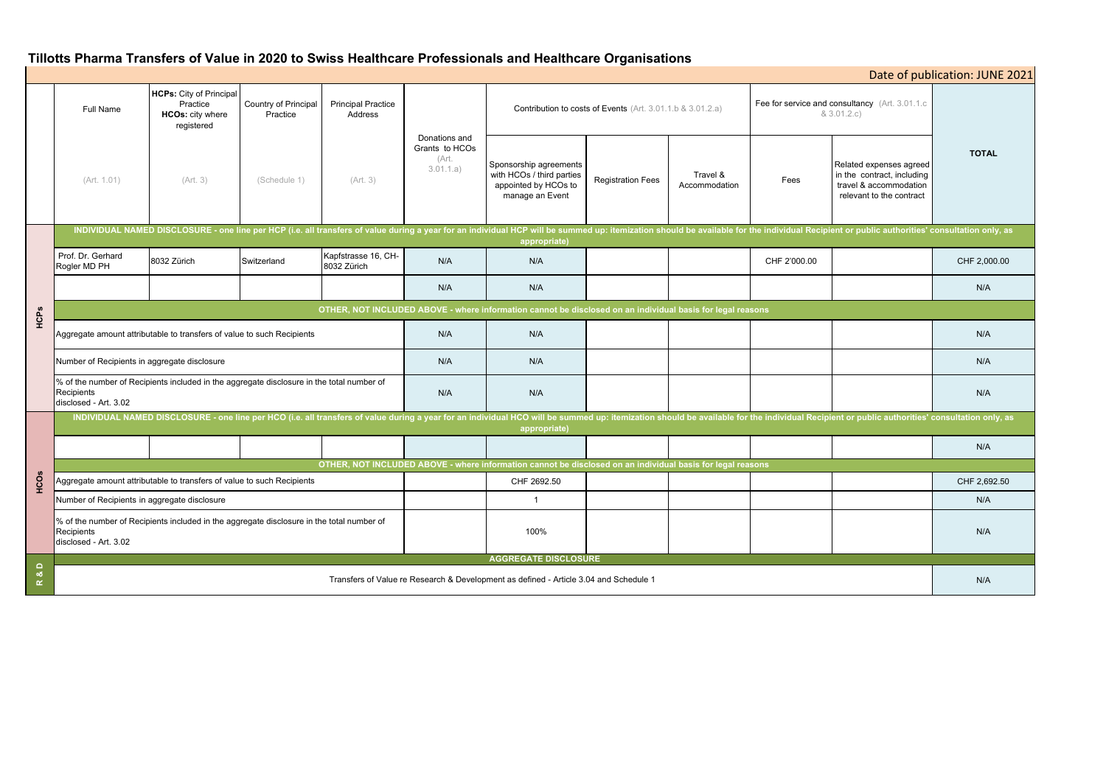# **Tillotts Pharma Transfers of Value in 2020 to Swiss Healthcare Professionals and Healthcare Organisations**

|               | <b>Full Name</b>                                                                                                                                                                                                                               | <b>HCPs:</b> City of Principal<br>Practice<br><b>HCOs: city where</b><br>registered | Country of Principal<br>Practice | <b>Principal Practice</b><br>Address | Donations and<br>Grants to HCOs<br>(Art.<br>3.01.1.a) | <b>Contribution to costs of Events</b> (Art. 3.01.1.b & 3.01.2.a)                              |                          |                           | Fee for service and consultancy (Art. 3.01.1.c<br>& 3.01.2.c) |                                                                                                             |              |
|---------------|------------------------------------------------------------------------------------------------------------------------------------------------------------------------------------------------------------------------------------------------|-------------------------------------------------------------------------------------|----------------------------------|--------------------------------------|-------------------------------------------------------|------------------------------------------------------------------------------------------------|--------------------------|---------------------------|---------------------------------------------------------------|-------------------------------------------------------------------------------------------------------------|--------------|
|               | (Art. 1.01)                                                                                                                                                                                                                                    | (Art. 3)                                                                            | (Schedule 1)                     | (Art. 3)                             |                                                       | Sponsorship agreements<br>with HCOs / third parties<br>appointed by HCOs to<br>manage an Event | <b>Registration Fees</b> | Travel &<br>Accommodation | Fees                                                          | Related expenses agreed<br>in the contract, including<br>travel & accommodation<br>relevant to the contract | <b>TOTAL</b> |
| HCPS          | INDIVIDUAL NAMED DISCLOSURE - one line per HCP (i.e. all transfers of value during a year for an individual HCP will be summed up: itemization should be available for the individual Recipient or public authorities' consult<br>appropriate) |                                                                                     |                                  |                                      |                                                       |                                                                                                |                          |                           |                                                               |                                                                                                             |              |
|               | Prof. Dr. Gerhard<br>Rogler MD PH                                                                                                                                                                                                              | 8032 Zürich                                                                         | Switzerland                      | Kapfstrasse 16, CH-<br>8032 Zürich   | N/A                                                   | N/A                                                                                            |                          |                           | CHF 2'000.00                                                  |                                                                                                             | CHF 2,000.00 |
|               |                                                                                                                                                                                                                                                |                                                                                     |                                  |                                      | N/A                                                   | N/A                                                                                            |                          |                           |                                                               |                                                                                                             | N/A          |
|               | OTHER, NOT INCLUDED ABOVE - where information cannot be disclosed on an individual basis for legal reasons                                                                                                                                     |                                                                                     |                                  |                                      |                                                       |                                                                                                |                          |                           |                                                               |                                                                                                             |              |
|               | Aggregate amount attributable to transfers of value to such Recipients                                                                                                                                                                         |                                                                                     |                                  |                                      | N/A                                                   | N/A                                                                                            |                          |                           |                                                               |                                                                                                             | N/A          |
|               | Number of Recipients in aggregate disclosure                                                                                                                                                                                                   |                                                                                     |                                  |                                      | N/A                                                   | N/A                                                                                            |                          |                           |                                                               |                                                                                                             | N/A          |
|               | % of the number of Recipients included in the aggregate disclosure in the total number of<br>Recipients<br>disclosed - Art. 3.02                                                                                                               |                                                                                     |                                  |                                      | N/A                                                   | N/A                                                                                            |                          |                           |                                                               |                                                                                                             | N/A          |
| HCOS          | INDIVIDUAL NAMED DISCLOSURE - one line per HCO (i.e. all transfers of value during a year for an individual HCO will be summed up: itemization should be available for the individual Recipient or public authorities' consult<br>appropriate) |                                                                                     |                                  |                                      |                                                       |                                                                                                |                          |                           |                                                               |                                                                                                             |              |
|               |                                                                                                                                                                                                                                                |                                                                                     |                                  |                                      |                                                       |                                                                                                |                          |                           |                                                               |                                                                                                             | N/A          |
|               | OTHER, NOT INCLUDED ABOVE - where information cannot be disclosed on an individual basis for legal reasons                                                                                                                                     |                                                                                     |                                  |                                      |                                                       |                                                                                                |                          |                           |                                                               |                                                                                                             |              |
|               | Aggregate amount attributable to transfers of value to such Recipients                                                                                                                                                                         |                                                                                     |                                  |                                      |                                                       | CHF 2692.50                                                                                    |                          |                           |                                                               |                                                                                                             | CHF 2,692.50 |
|               | Number of Recipients in aggregate disclosure                                                                                                                                                                                                   |                                                                                     |                                  |                                      |                                                       | $\overline{1}$                                                                                 |                          |                           |                                                               |                                                                                                             | N/A          |
|               | % of the number of Recipients included in the aggregate disclosure in the total number of<br>Recipients<br>disclosed - Art. 3.02                                                                                                               |                                                                                     |                                  |                                      |                                                       | 100%                                                                                           |                          |                           |                                                               |                                                                                                             | N/A          |
| $\Omega$      | <b>AGGREGATE DISCLOSURE</b>                                                                                                                                                                                                                    |                                                                                     |                                  |                                      |                                                       |                                                                                                |                          |                           |                                                               |                                                                                                             |              |
| ೲ<br>$\alpha$ | Transfers of Value re Research & Development as defined - Article 3.04 and Schedule 1                                                                                                                                                          |                                                                                     |                                  |                                      |                                                       |                                                                                                |                          |                           |                                                               |                                                                                                             | N/A          |

| Date of publication: JUNE 2021                                      |                                                                                                             |              |  |  |  |  |  |  |  |
|---------------------------------------------------------------------|-------------------------------------------------------------------------------------------------------------|--------------|--|--|--|--|--|--|--|
| Fee for service and consultancy (Art. 3.01.1.c<br>& 3.01.2.c)       |                                                                                                             |              |  |  |  |  |  |  |  |
| Fees                                                                | Related expenses agreed<br>in the contract, including<br>travel & accommodation<br>relevant to the contract | <b>TOTAL</b> |  |  |  |  |  |  |  |
| e individual Recipient or public authorities' consultation only, as |                                                                                                             |              |  |  |  |  |  |  |  |
| CHF 2'000.00                                                        |                                                                                                             | CHF 2,000.00 |  |  |  |  |  |  |  |
|                                                                     |                                                                                                             | N/A          |  |  |  |  |  |  |  |
| ons                                                                 |                                                                                                             |              |  |  |  |  |  |  |  |
|                                                                     |                                                                                                             | N/A          |  |  |  |  |  |  |  |
|                                                                     |                                                                                                             | N/A          |  |  |  |  |  |  |  |
|                                                                     |                                                                                                             | N/A          |  |  |  |  |  |  |  |
| e individual Recipient or public authorities' consultation only, as |                                                                                                             |              |  |  |  |  |  |  |  |
|                                                                     |                                                                                                             | N/A          |  |  |  |  |  |  |  |
| ons                                                                 |                                                                                                             |              |  |  |  |  |  |  |  |
|                                                                     |                                                                                                             | CHF 2,692.50 |  |  |  |  |  |  |  |
|                                                                     |                                                                                                             | N/A          |  |  |  |  |  |  |  |
|                                                                     |                                                                                                             | N/A          |  |  |  |  |  |  |  |
|                                                                     |                                                                                                             | N/A          |  |  |  |  |  |  |  |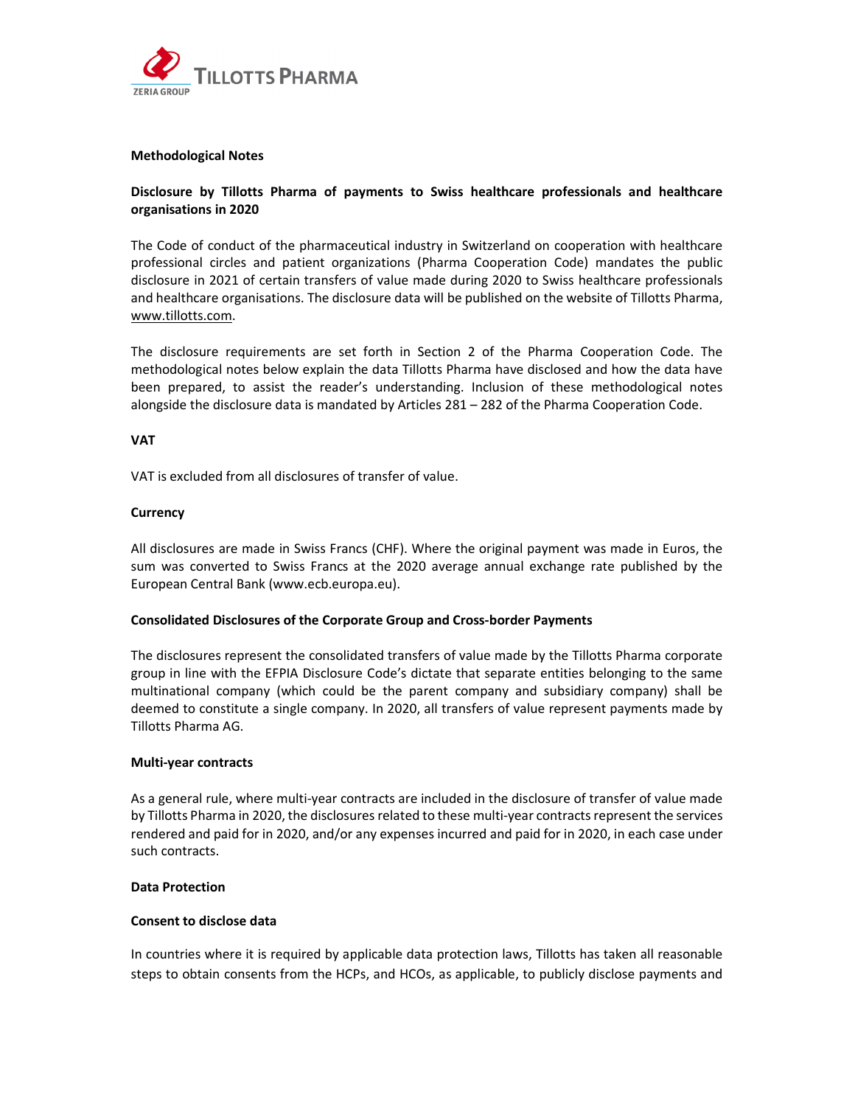

#### **Methodological Notes**

# **Disclosure by Tillotts Pharma of payments to Swiss healthcare professionals and healthcare organisations in 2020**

The Code of conduct of the pharmaceutical industry in Switzerland on cooperation with healthcare professional circles and patient organizations (Pharma Cooperation Code) mandates the public disclosure in 2021 of certain transfers of value made during 2020 to Swiss healthcare professionals and healthcare organisations. The disclosure data will be published on the website of Tillotts Pharma, www.tillotts.com.

The disclosure requirements are set forth in Section 2 of the Pharma Cooperation Code. The methodological notes below explain the data Tillotts Pharma have disclosed and how the data have been prepared, to assist the reader's understanding. Inclusion of these methodological notes alongside the disclosure data is mandated by Articles 281 – 282 of the Pharma Cooperation Code.

# **VAT**

VAT is excluded from all disclosures of transfer of value.

## **Currency**

All disclosures are made in Swiss Francs (CHF). Where the original payment was made in Euros, the sum was converted to Swiss Francs at the 2020 average annual exchange rate published by the European Central Bank (www.ecb.europa.eu).

# **Consolidated Disclosures of the Corporate Group and Cross‐border Payments**

The disclosures represent the consolidated transfers of value made by the Tillotts Pharma corporate group in line with the EFPIA Disclosure Code's dictate that separate entities belonging to the same multinational company (which could be the parent company and subsidiary company) shall be deemed to constitute a single company. In 2020, all transfers of value represent payments made by Tillotts Pharma AG.

#### **Multi‐year contracts**

As a general rule, where multi‐year contracts are included in the disclosure of transfer of value made by Tillotts Pharma in 2020, the disclosures related to these multi‐year contracts represent the services rendered and paid for in 2020, and/or any expenses incurred and paid for in 2020, in each case under such contracts.

#### **Data Protection**

# **Consent to disclose data**

In countries where it is required by applicable data protection laws, Tillotts has taken all reasonable steps to obtain consents from the HCPs, and HCOs, as applicable, to publicly disclose payments and